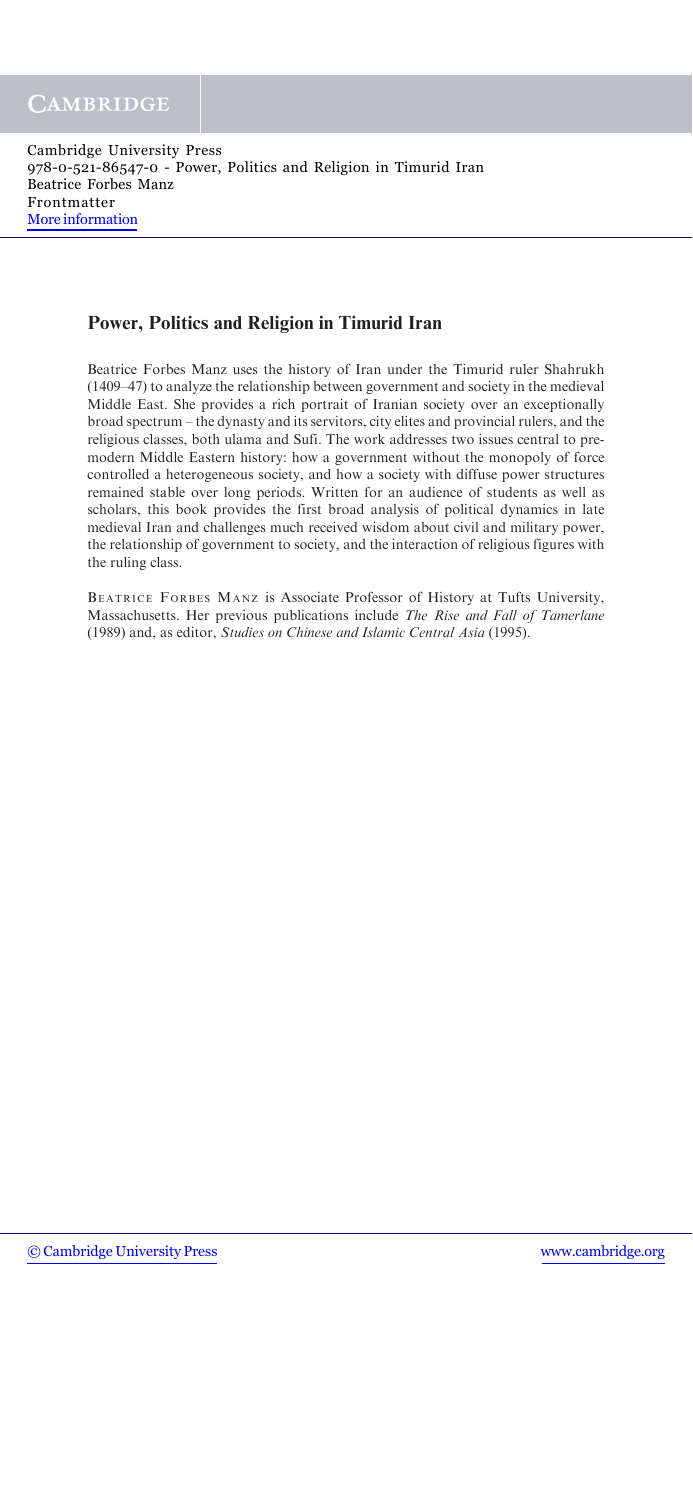### Power, Politics and Religion in Timurid Iran

Beatrice Forbes Manz uses the history of Iran under the Timurid ruler Shahrukh (1409–47) to analyze the relationship between government and society in the medieval Middle East. She provides a rich portrait of Iranian society over an exceptionally broad spectrum – the dynasty and its servitors, city elites and provincial rulers, and the religious classes, both ulama and Sufi. The work addresses two issues central to premodern Middle Eastern history: how a government without the monopoly of force controlled a heterogeneous society, and how a society with diffuse power structures remained stable over long periods. Written for an audience of students as well as scholars, this book provides the first broad analysis of political dynamics in late medieval Iran and challenges much received wisdom about civil and military power, the relationship of government to society, and the interaction of religious figures with the ruling class.

BEATRICE FORBES MANZ is Associate Professor of History at Tufts University, Massachusetts. Her previous publications include The Rise and Fall of Tamerlane (1989) and, as editor, Studies on Chinese and Islamic Central Asia (1995).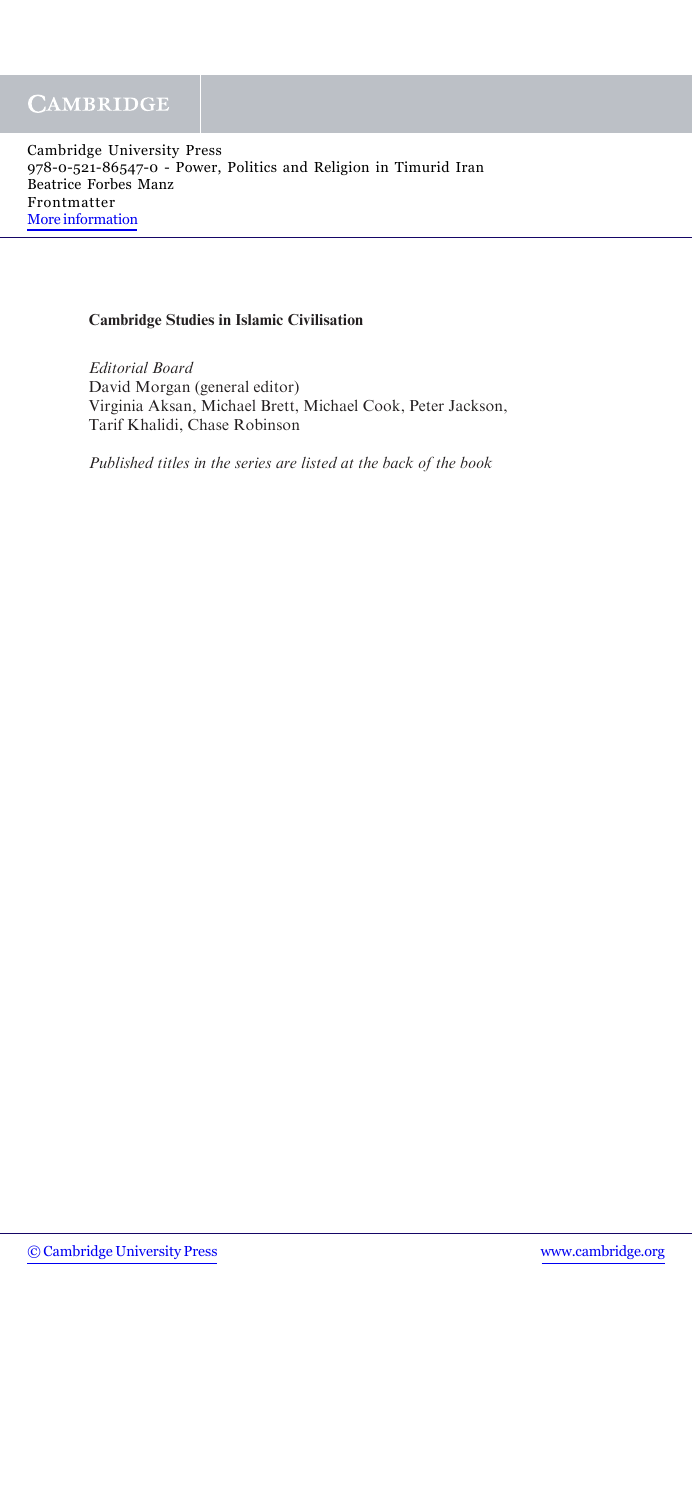#### Cambridge Studies in Islamic Civilisation

Editorial Board David Morgan (general editor) Virginia Aksan, Michael Brett, Michael Cook, Peter Jackson, Tarif Khalidi, Chase Robinson

Published titles in the series are listed at the back of the book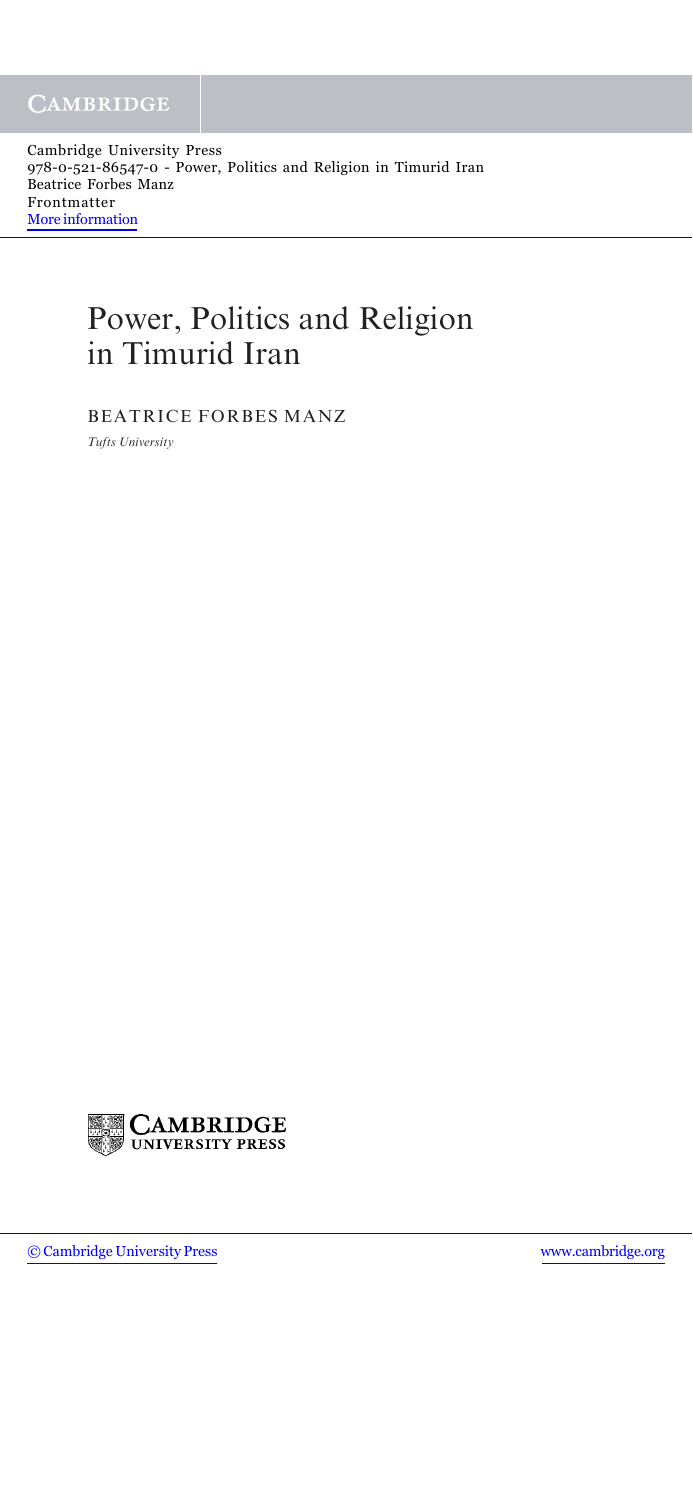# Power, Politics and Religion in Timurid Iran

BEATRICE FORBES MANZ

Tufts University

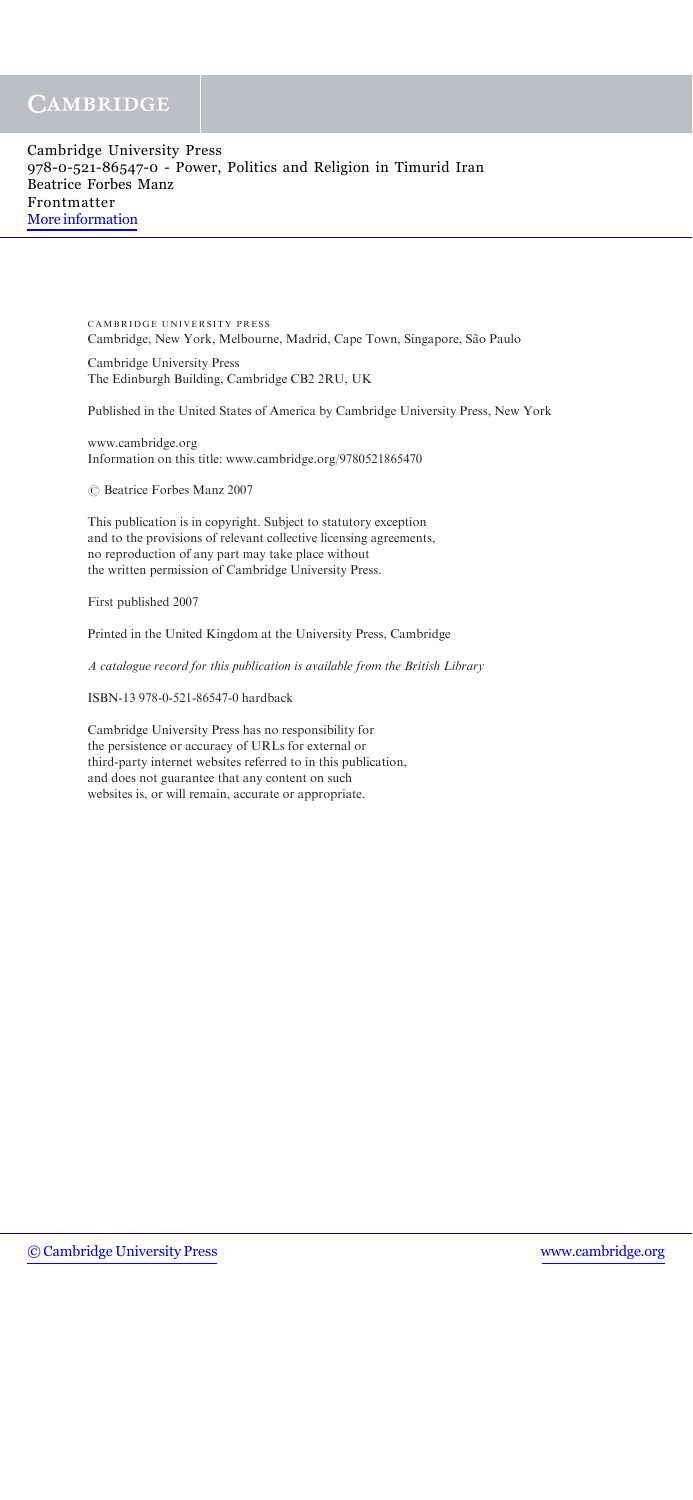### **CAMBRIDGE**

CAMBRIDGE UNIVERSITY PRESS Cambridge, New York, Melbourne, Madrid, Cape Town, Singapore, São Paulo

Cambridge University Press The Edinburgh Building, Cambridge CB2 2RU, UK

Published in the United States of America by Cambridge University Press, New York

www.cambridge.org Information on this title: www.cambridge.org/9780521865470

 $\odot$  Beatrice Forbes Manz 2007

This publication is in copyright. Subject to statutory exception and to the provisions of relevant collective licensing agreements, no reproduction of any part may take place without the written permission of Cambridge University Press.

First published 2007

Printed in the United Kingdom at the University Press, Cambridge

A catalogue record for this publication is available from the British Library

ISBN-13 978-0-521-86547-0 hardback

Cambridge University Press has no responsibility for the persistence or accuracy of URLs for external or third-party internet websites referred to in this publication, and does not guarantee that any content on such websites is, or will remain, accurate or appropriate.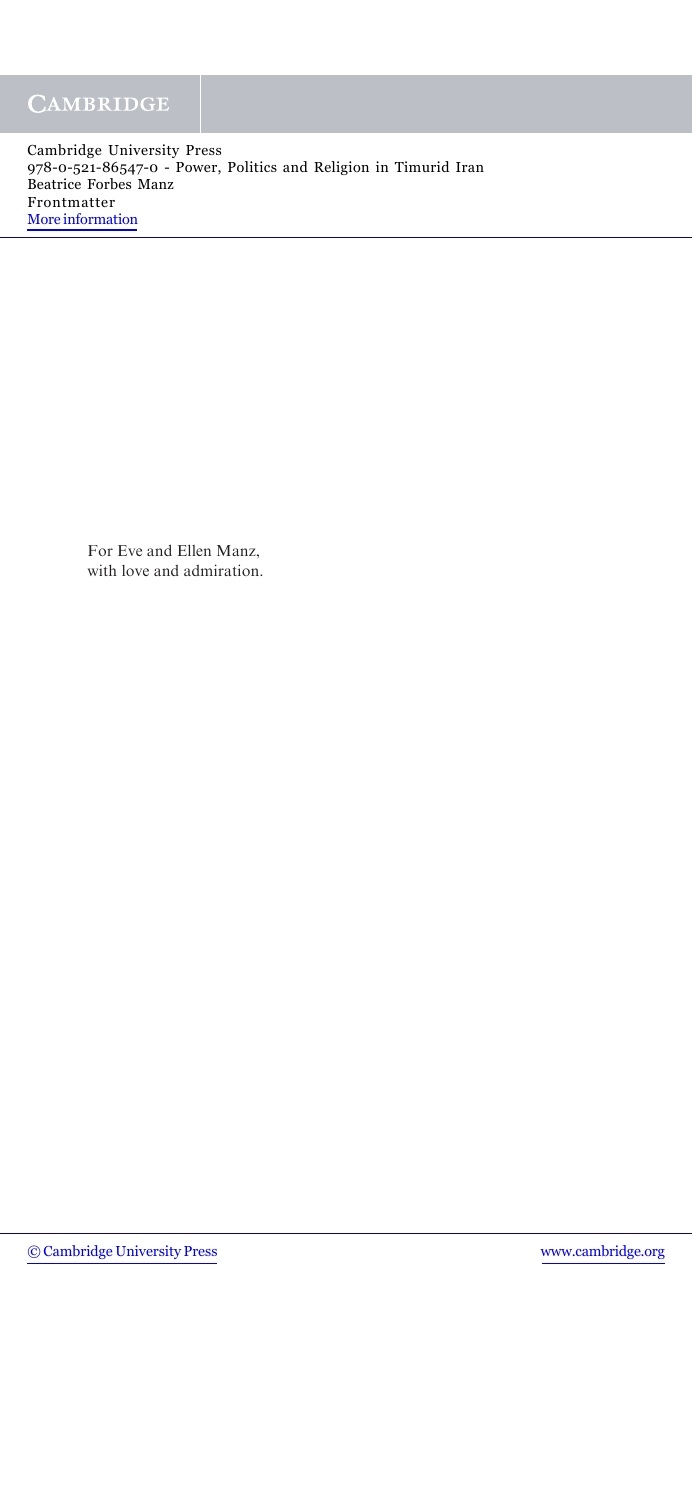> For Eve and Ellen Manz, with love and admiration.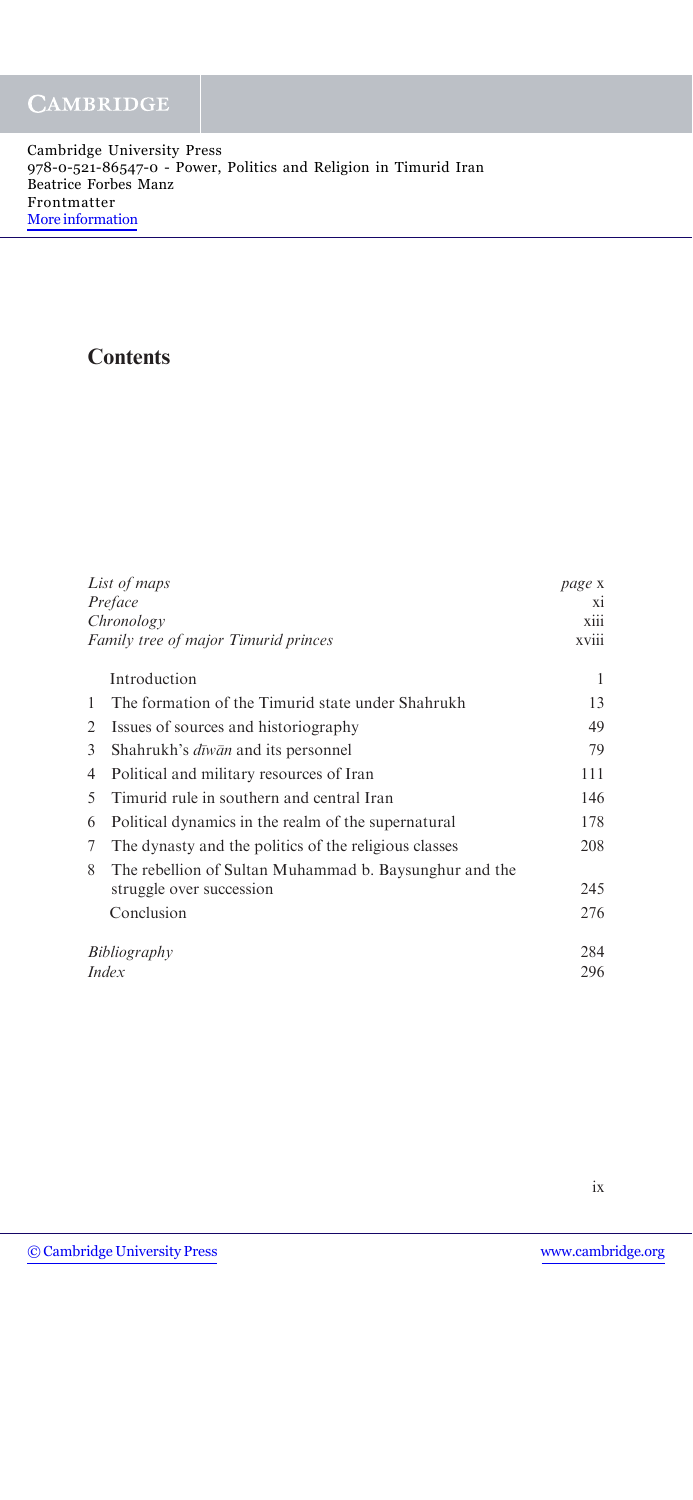## **Contents**

| List of maps<br>Preface<br>Chronology<br><b>Family tree of major Timurid princes</b> |                                                        | page x<br>X1<br>xiii<br>xviii |   |                                                   |    |
|--------------------------------------------------------------------------------------|--------------------------------------------------------|-------------------------------|---|---------------------------------------------------|----|
|                                                                                      |                                                        |                               |   | Introduction                                      | 1  |
|                                                                                      |                                                        |                               | 1 | The formation of the Timurid state under Shahrukh | 13 |
|                                                                                      |                                                        |                               | 2 | Issues of sources and historiography              | 49 |
| 3                                                                                    | Shahrukh's <i>dīwān</i> and its personnel              | 79                            |   |                                                   |    |
| 4                                                                                    | Political and military resources of Iran               | 111                           |   |                                                   |    |
| 5                                                                                    | Timurid rule in southern and central Iran              | 146                           |   |                                                   |    |
| 6                                                                                    | Political dynamics in the realm of the supernatural    | 178                           |   |                                                   |    |
| 7                                                                                    | The dynasty and the politics of the religious classes  | 208                           |   |                                                   |    |
| 8                                                                                    | The rebellion of Sultan Muhammad b. Baysunghur and the |                               |   |                                                   |    |
|                                                                                      | struggle over succession                               | 245                           |   |                                                   |    |
|                                                                                      | Conclusion                                             | 276                           |   |                                                   |    |
| <i>Bibliography</i>                                                                  |                                                        | 284                           |   |                                                   |    |
| <i>Index</i>                                                                         |                                                        | 296                           |   |                                                   |    |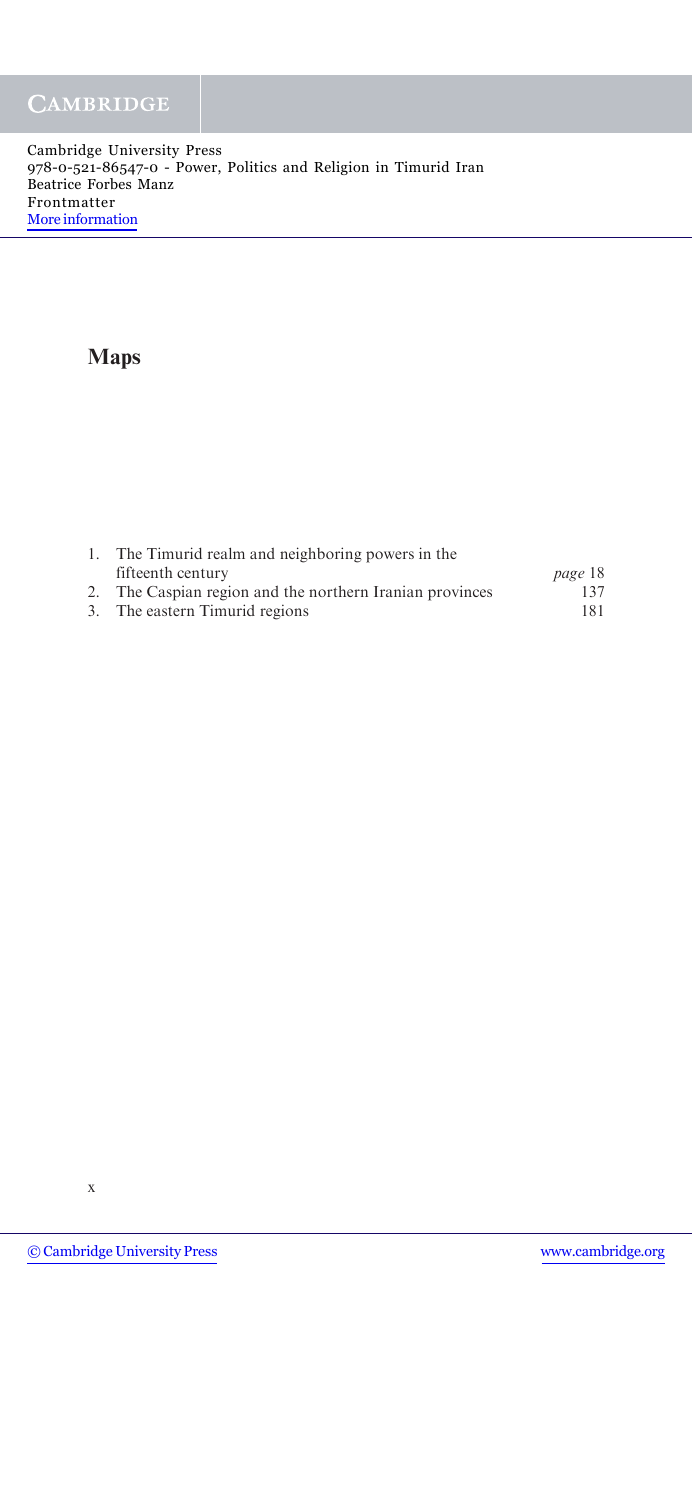# Maps

| 1. The Timurid realm and neighboring powers in the       |                |
|----------------------------------------------------------|----------------|
| fifteenth century                                        | <i>page</i> 18 |
| 2. The Caspian region and the northern Iranian provinces | 137            |
| 3. The eastern Timurid regions                           | 181            |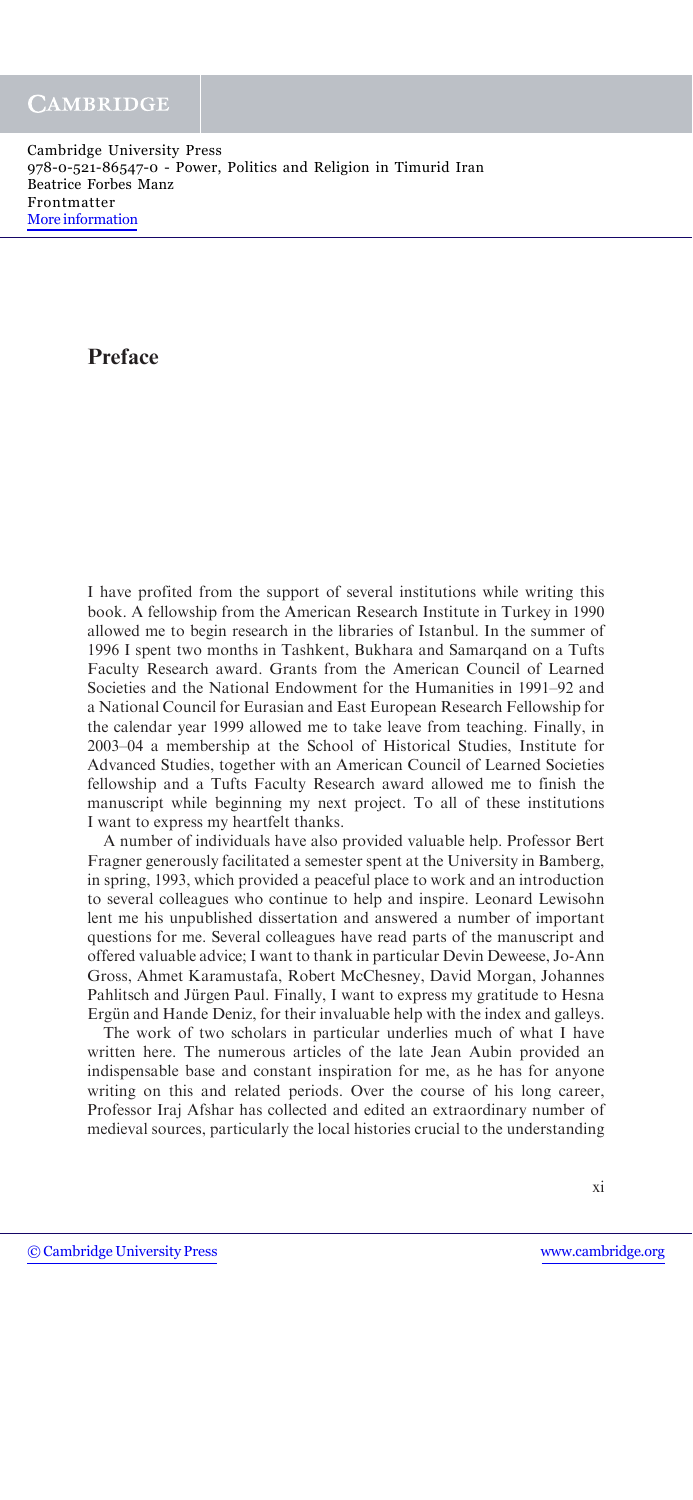### Preface

I have profited from the support of several institutions while writing this book. A fellowship from the American Research Institute in Turkey in 1990 allowed me to begin research in the libraries of Istanbul. In the summer of 1996 I spent two months in Tashkent, Bukhara and Samarqand on a Tufts Faculty Research award. Grants from the American Council of Learned Societies and the National Endowment for the Humanities in 1991–92 and a National Council for Eurasian and East European Research Fellowship for the calendar year 1999 allowed me to take leave from teaching. Finally, in 2003–04 a membership at the School of Historical Studies, Institute for Advanced Studies, together with an American Council of Learned Societies fellowship and a Tufts Faculty Research award allowed me to finish the manuscript while beginning my next project. To all of these institutions I want to express my heartfelt thanks.

A number of individuals have also provided valuable help. Professor Bert Fragner generously facilitated a semester spent at the University in Bamberg, in spring, 1993, which provided a peaceful place to work and an introduction to several colleagues who continue to help and inspire. Leonard Lewisohn lent me his unpublished dissertation and answered a number of important questions for me. Several colleagues have read parts of the manuscript and offered valuable advice; I want to thank in particular Devin Deweese, Jo-Ann Gross, Ahmet Karamustafa, Robert McChesney, David Morgan, Johannes Pahlitsch and Jürgen Paul. Finally, I want to express my gratitude to Hesna Ergün and Hande Deniz, for their invaluable help with the index and galleys.

The work of two scholars in particular underlies much of what I have written here. The numerous articles of the late Jean Aubin provided an indispensable base and constant inspiration for me, as he has for anyone writing on this and related periods. Over the course of his long career, Professor Iraj Afshar has collected and edited an extraordinary number of medieval sources, particularly the local histories crucial to the understanding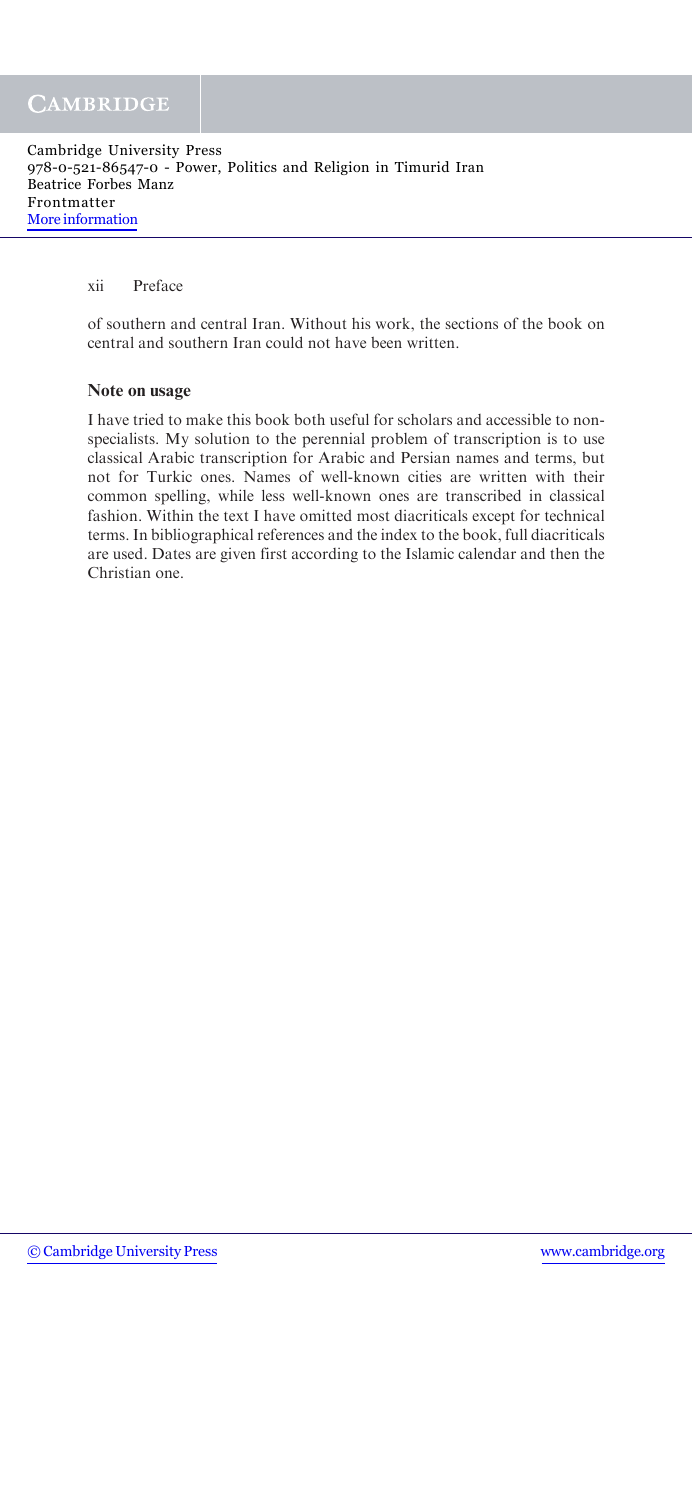#### xii Preface

of southern and central Iran. Without his work, the sections of the book on central and southern Iran could not have been written.

#### Note on usage

I have tried to make this book both useful for scholars and accessible to nonspecialists. My solution to the perennial problem of transcription is to use classical Arabic transcription for Arabic and Persian names and terms, but not for Turkic ones. Names of well-known cities are written with their common spelling, while less well-known ones are transcribed in classical fashion. Within the text I have omitted most diacriticals except for technical terms. In bibliographical references and the index to the book, full diacriticals are used. Dates are given first according to the Islamic calendar and then the Christian one.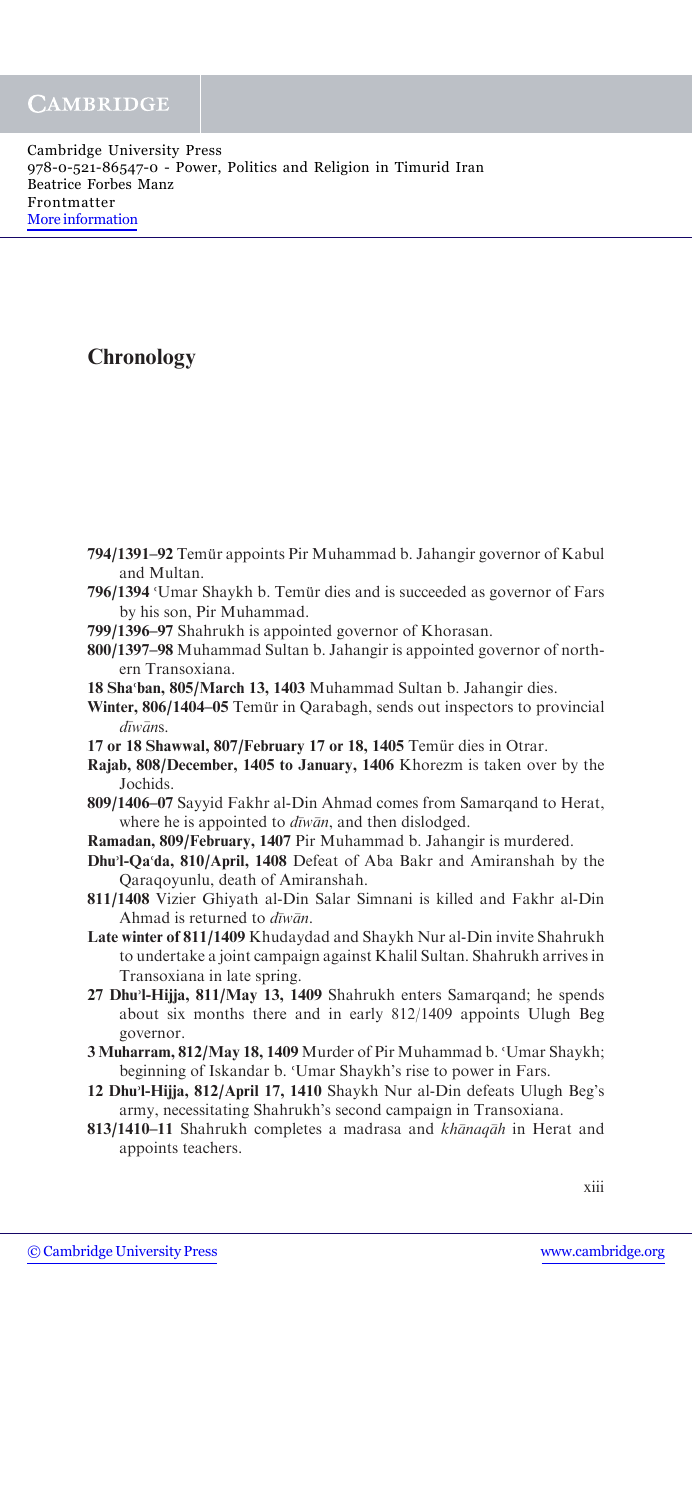# **Chronology**

- 794/1391–92 Temür appoints Pir Muhammad b. Jahangir governor of Kabul and Multan.
- 796/1394 °Umar Shaykh b. Temur dies and is succeeded as governor of Fars by his son, Pir Muhammad.
- 799/1396–97 Shahrukh is appointed governor of Khorasan.
- 800/1397–98 Muhammad Sultan b. Jahangir is appointed governor of northern Transoxiana.
- 18 Sha'ban, 805/March 13, 1403 Muhammad Sultan b. Jahangir dies.
- Winter, 806/1404–05 Temur in Qarabagh, sends out inspectors to provincial  $d\bar{u}w\bar{a}ns$ .
- 17 or 18 Shawwal, 807/February 17 or 18, 1405 Temür dies in Otrar.
- Rajab, 808/December, 1405 to January, 1406 Khorezm is taken over by the Jochids.
- 809/1406–07 Sayyid Fakhr al-Din Ahmad comes from Samarqand to Herat, where he is appointed to  $d\bar{w}\bar{a}n$ , and then dislodged.
- Ramadan, 809/February, 1407 Pir Muhammad b. Jahangir is murdered.
- Dhu'l-Qa'da, 810/April, 1408 Defeat of Aba Bakr and Amiranshah by the Qaraqoyunlu, death of Amiranshah.
- 811/1408 Vizier Ghiyath al-Din Salar Simnani is killed and Fakhr al-Din Ahmad is returned to  $d\bar{w}$  and  $\bar{w}$ .
- Late winter of 811/1409 Khudaydad and Shaykh Nur al-Din invite Shahrukh to undertake a joint campaign against Khalil Sultan. Shahrukh arrives in Transoxiana in late spring.
- 27 Dhu'l-Hijja, 811/May 13, 1409 Shahrukh enters Samarqand; he spends about six months there and in early 812/1409 appoints Ulugh Beg governor.
- 3 Muharram, 812/May 18, 1409 Murder of Pir Muhammad b. 'Umar Shaykh; beginning of Iskandar b. 'Umar Shaykh's rise to power in Fars.
- 12 Dhupl-Hijja, 812/April 17, 1410 Shaykh Nur al-Din defeats Ulugh Beg's army, necessitating Shahrukh's second campaign in Transoxiana.
- 813/1410–11 Shahrukh completes a madrasa and  $kh\bar{a}n aq\bar{a}h$  in Herat and appoints teachers.

xiii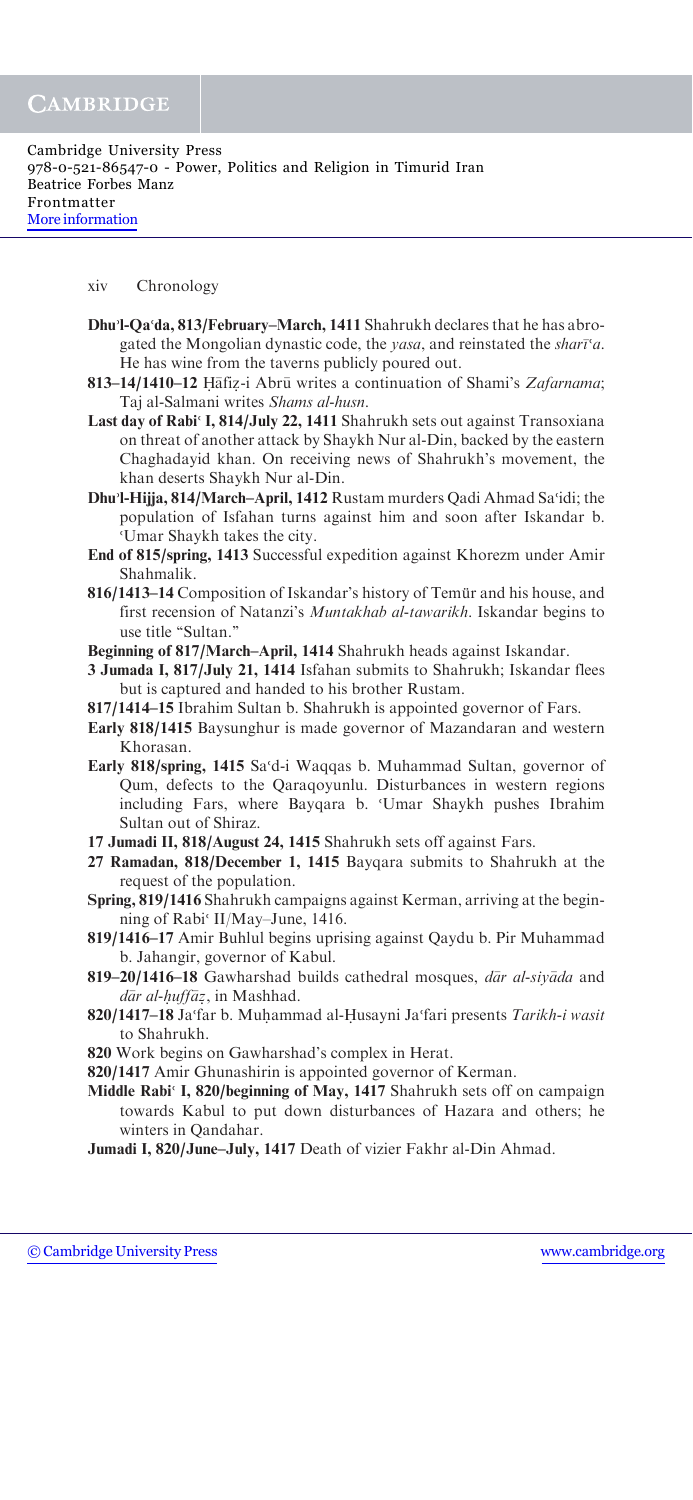xiv Chronology

- Dhu'l-Qa'da, 813/February–March, 1411 Shahrukh declares that he has abrogated the Mongolian dynastic code, the yasa, and reinstated the shart'a. He has wine from the taverns publicly poured out.
- 813-14/1410-12 Hafiz-i Abrū writes a continuation of Shami's Zafarnama; Taj al-Salmani writes Shams al-husn.
- Last day of Rabi<sup>c</sup> I, 814/July 22, 1411 Shahrukh sets out against Transoxiana on threat of another attack by Shaykh Nur al-Din, backed by the eastern Chaghadayid khan. On receiving news of Shahrukh's movement, the khan deserts Shaykh Nur al-Din.
- Dhu'l-Hijja, 814/March–April, 1412 Rustam murders Qadi Ahmad Sa'idi; the population of Isfahan turns against him and soon after Iskandar b. qUmar Shaykh takes the city.
- End of 815/spring, 1413 Successful expedition against Khorezm under Amir Shahmalik.
- 816/1413–14 Composition of Iskandar's history of Temur and his house, and first recension of Natanzi's Muntakhab al-tawarikh. Iskandar begins to use title ''Sultan.''
- Beginning of 817/March–April, 1414 Shahrukh heads against Iskandar.
- 3 Jumada I, 817/July 21, 1414 Isfahan submits to Shahrukh; Iskandar flees but is captured and handed to his brother Rustam.
- 817/1414–15 Ibrahim Sultan b. Shahrukh is appointed governor of Fars.
- Early 818/1415 Baysunghur is made governor of Mazandaran and western Khorasan.
- Early 818/spring, 1415 Sa'd-i Waqqas b. Muhammad Sultan, governor of Qum, defects to the Qaraqoyunlu. Disturbances in western regions including Fars, where Bayqara b. 'Umar Shaykh pushes Ibrahim Sultan out of Shiraz.
- 17 Jumadi II, 818/August 24, 1415 Shahrukh sets off against Fars.
- 27 Ramadan, 818/December 1, 1415 Bayqara submits to Shahrukh at the request of the population.
- Spring, 819/1416 Shahrukh campaigns against Kerman, arriving at the beginning of Rabi<sup>c</sup> II/May–June, 1416.
- 819/1416–17 Amir Buhlul begins uprising against Qaydu b. Pir Muhammad b. Jahangir, governor of Kabul.
- 819–20/1416–18 Gawharshad builds cathedral mosques, dar al-siyada and  $d\bar{a}r$  al-huff $\bar{a}z$ , in Mashhad.
- 820/1417–18 Ja'far b. Muhammad al-Husayni Ja'fari presents Tarikh-i wasit to Shahrukh.
- 820 Work begins on Gawharshad's complex in Herat.
- 820/1417 Amir Ghunashirin is appointed governor of Kerman.
- Middle Rabi<sup>c</sup> I, 820/beginning of May, 1417 Shahrukh sets off on campaign towards Kabul to put down disturbances of Hazara and others; he winters in Qandahar.
- Jumadi I, 820/June–July, 1417 Death of vizier Fakhr al-Din Ahmad.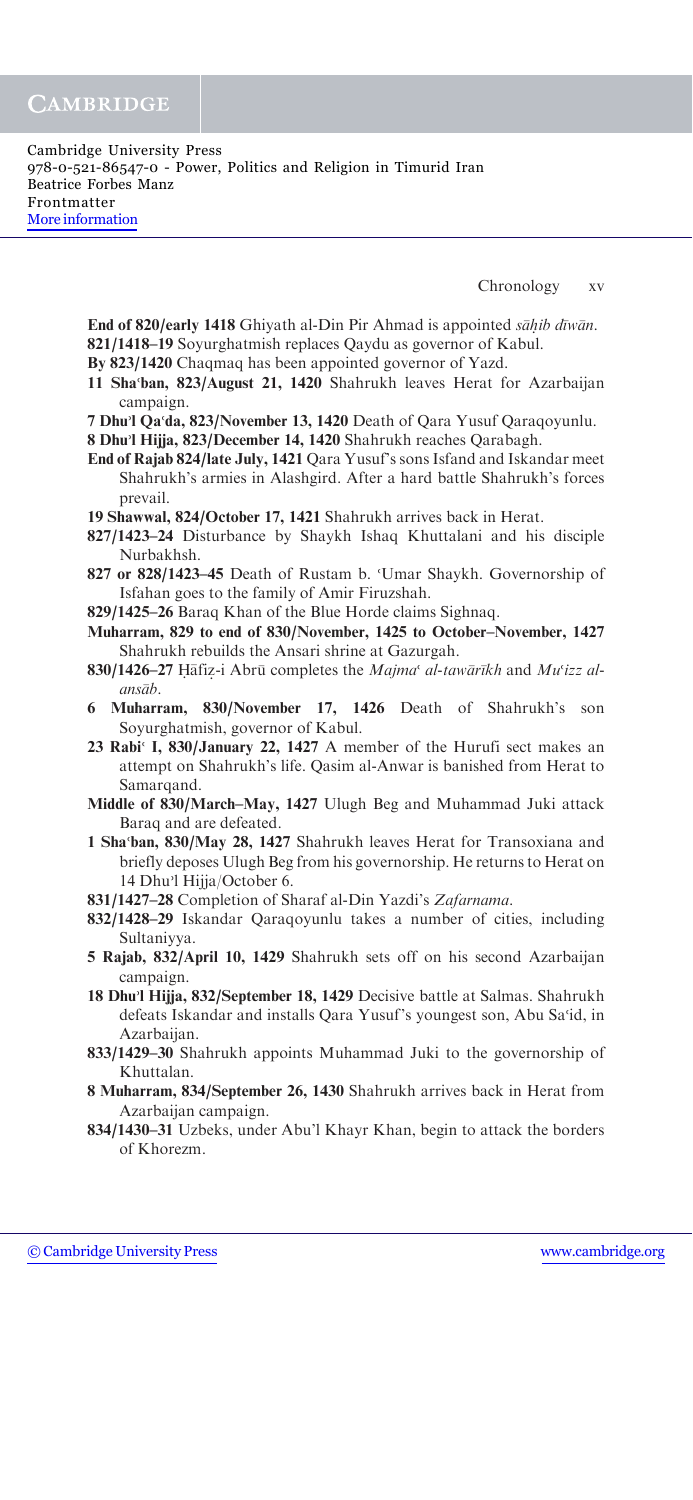Chronology xv

**End of 820/early 1418** Ghiyath al-Din Pir Ahmad is appointed *sahib diwan*. 821/1418–19 Soyurghatmish replaces Qaydu as governor of Kabul.

- By 823/1420 Chaqmaq has been appointed governor of Yazd.
- 11 Sha'ban, 823/August 21, 1420 Shahrukh leaves Herat for Azarbaijan campaign.
- 7 Dhu'l Qa'da, 823/November 13, 1420 Death of Qara Yusuf Qaraqoyunlu.
- 8 Dhu'l Hijja, 823/December 14, 1420 Shahrukh reaches Qarabagh.
- End of Rajab 824/late July, 1421 Qara Yusuf's sons Isfand and Iskandar meet Shahrukh's armies in Alashgird. After a hard battle Shahrukh's forces prevail.
- 19 Shawwal, 824/October 17, 1421 Shahrukh arrives back in Herat.
- 827/1423–24 Disturbance by Shaykh Ishaq Khuttalani and his disciple Nurbakhsh.
- 827 or 828/1423–45 Death of Rustam b. 'Umar Shaykh. Governorship of Isfahan goes to the family of Amir Firuzshah.
- 829/1425–26 Baraq Khan of the Blue Horde claims Sighnaq.
- Muharram, 829 to end of 830/November, 1425 to October–November, 1427 Shahrukh rebuilds the Ansari shrine at Gazurgah.
- 830/1426–27 Hafiz-i Abrū completes the Majma' al-tawārīkh and Mu'izz alansāb.
- 6 Muharram, 830/November 17, 1426 Death of Shahrukh's son Soyurghatmish, governor of Kabul.
- 23 Rabi<sup>c</sup> I, 830/January 22, 1427 A member of the Hurufi sect makes an attempt on Shahrukh's life. Qasim al-Anwar is banished from Herat to Samarqand.
- Middle of 830/March–May, 1427 Ulugh Beg and Muhammad Juki attack Baraq and are defeated.
- 1 Sha'ban, 830/May 28, 1427 Shahrukh leaves Herat for Transoxiana and briefly deposes Ulugh Beg from his governorship. He returns to Herat on 14 Dhu'l Hijja/October 6.
- 831/1427-28 Completion of Sharaf al-Din Yazdi's Zafarnama.
- 832/1428–29 Iskandar Qaraqoyunlu takes a number of cities, including Sultaniyya.
- 5 Rajab, 832/April 10, 1429 Shahrukh sets off on his second Azarbaijan campaign.
- 18 Dhu'l Hijja, 832/September 18, 1429 Decisive battle at Salmas. Shahrukh defeats Iskandar and installs Qara Yusuf's youngest son, Abu Sa'id, in Azarbaijan.
- 833/1429–30 Shahrukh appoints Muhammad Juki to the governorship of Khuttalan.
- 8 Muharram, 834/September 26, 1430 Shahrukh arrives back in Herat from Azarbaijan campaign.
- 834/1430–31 Uzbeks, under Abu'l Khayr Khan, begin to attack the borders of Khorezm.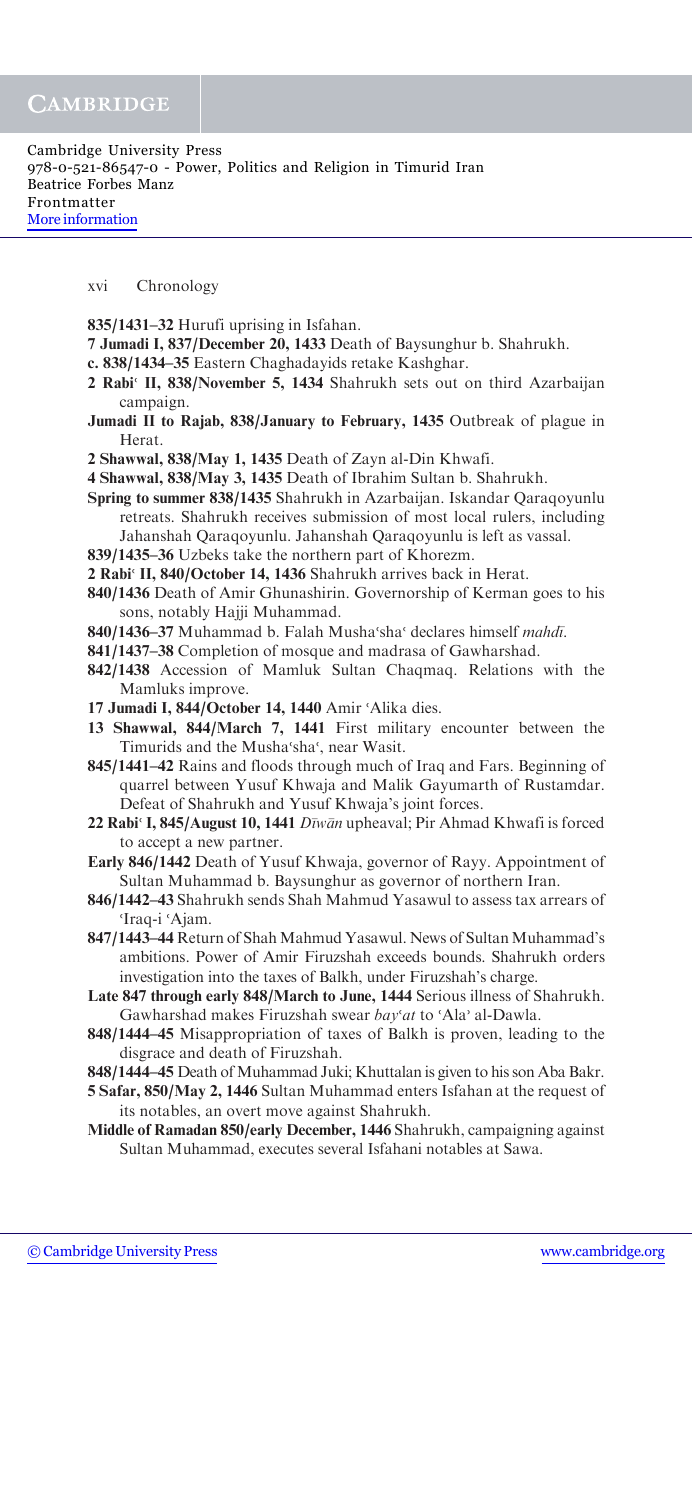xvi Chronology

- 835/1431–32 Hurufi uprising in Isfahan.
- 7 Jumadi I, 837/December 20, 1433 Death of Baysunghur b. Shahrukh.
- c. 838/1434–35 Eastern Chaghadayids retake Kashghar.
- 2 Rabi<sup>c</sup> II, 838/November 5, 1434 Shahrukh sets out on third Azarbaijan campaign.
- Jumadi II to Rajab, 838/January to February, 1435 Outbreak of plague in Herat.
- 2 Shawwal, 838/May 1, 1435 Death of Zayn al-Din Khwafi.
- 4 Shawwal, 838/May 3, 1435 Death of Ibrahim Sultan b. Shahrukh.
- Spring to summer 838/1435 Shahrukh in Azarbaijan. Iskandar Qaraqoyunlu retreats. Shahrukh receives submission of most local rulers, including Jahanshah Qaraqoyunlu. Jahanshah Qaraqoyunlu is left as vassal.
- 839/1435–36 Uzbeks take the northern part of Khorezm.
- 2 Rabi<sup>c</sup> II, 840/October 14, 1436 Shahrukh arrives back in Herat.
- 840/1436 Death of Amir Ghunashirin. Governorship of Kerman goes to his sons, notably Hajji Muhammad.
- 840/1436–37 Muhammad b. Falah Musha'sha' declares himself mahdī.
- 841/1437–38 Completion of mosque and madrasa of Gawharshad.
- 842/1438 Accession of Mamluk Sultan Chaqmaq. Relations with the Mamluks improve.
- 17 Jumadi I, 844/October 14, 1440 Amir 'Alika dies.
- 13 Shawwal, 844/March 7, 1441 First military encounter between the Timurids and the Musha'sha', near Wasit.
- 845/1441–42 Rains and floods through much of Iraq and Fars. Beginning of quarrel between Yusuf Khwaja and Malik Gayumarth of Rustamdar. Defeat of Shahrukh and Yusuf Khwaja's joint forces.
- 22 Rabi<sup>c</sup> I, 845/August 10, 1441  $D\bar{v}w\bar{a}n$  upheaval; Pir Ahmad Khwafi is forced to accept a new partner.
- Early 846/1442 Death of Yusuf Khwaja, governor of Rayy. Appointment of Sultan Muhammad b. Baysunghur as governor of northern Iran.
- 846/1442–43 Shahrukh sends Shah Mahmud Yasawul to assess tax arrears of Traq-i 'Ajam.
- 847/1443-44 Return of Shah Mahmud Yasawul. News of Sultan Muhammad's ambitions. Power of Amir Firuzshah exceeds bounds. Shahrukh orders investigation into the taxes of Balkh, under Firuzshah's charge.
- Late 847 through early 848/March to June, 1444 Serious illness of Shahrukh. Gawharshad makes Firuzshah swear  $bay'at$  to 'Ala' al-Dawla.
- 848/1444–45 Misappropriation of taxes of Balkh is proven, leading to the disgrace and death of Firuzshah.
- 848/1444–45 Death of Muhammad Juki; Khuttalan is given to his son Aba Bakr.
- 5 Safar, 850/May 2, 1446 Sultan Muhammad enters Isfahan at the request of its notables, an overt move against Shahrukh.
- Middle of Ramadan 850/early December, 1446 Shahrukh, campaigning against Sultan Muhammad, executes several Isfahani notables at Sawa.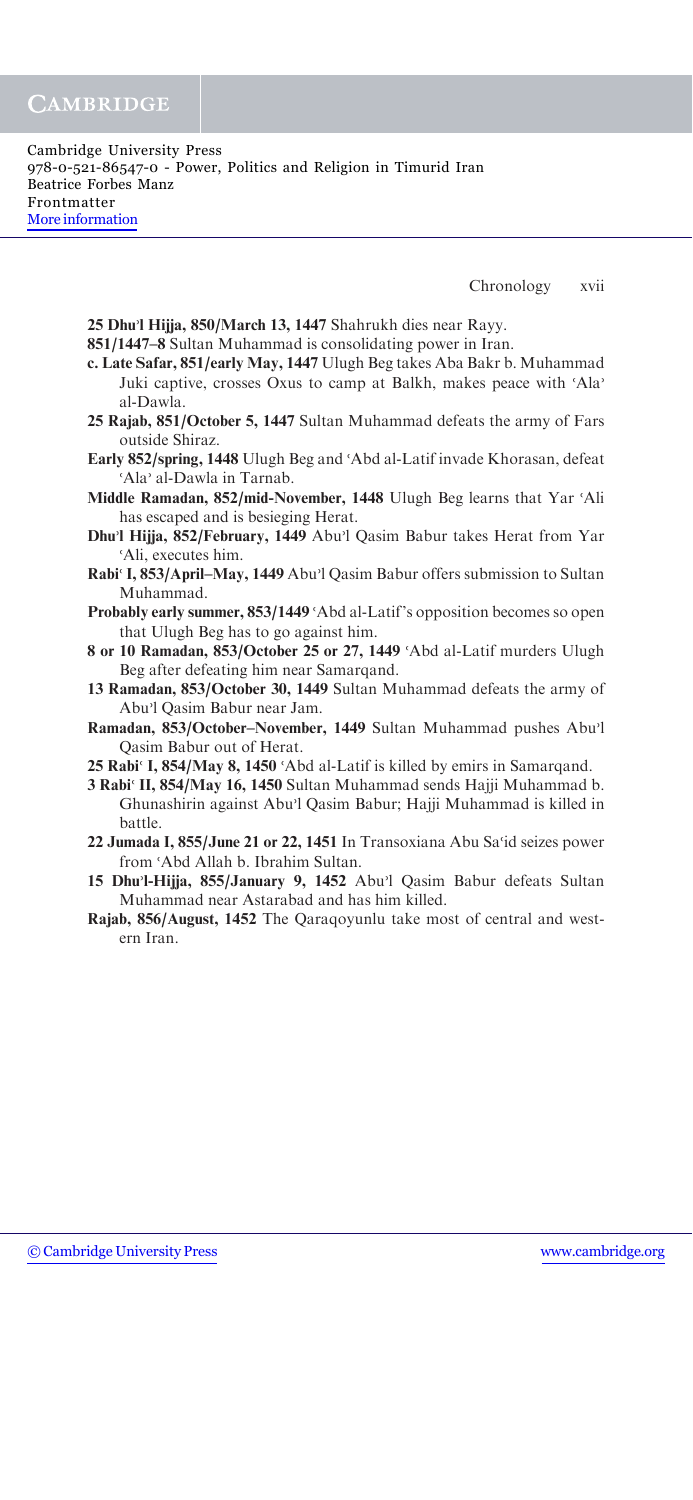Chronology xvii

25 Dhu'l Hijja, 850/March 13, 1447 Shahrukh dies near Rayy.

851/1447–8 Sultan Muhammad is consolidating power in Iran.

- c. Late Safar, 851/early May, 1447 Ulugh Beg takes Aba Bakr b. Muhammad Juki captive, crosses Oxus to camp at Balkh, makes peace with 'Ala' al-Dawla.
- 25 Rajab, 851/October 5, 1447 Sultan Muhammad defeats the army of Fars outside Shiraz.
- Early 852/spring, 1448 Ulugh Beg and 'Abd al-Latif invade Khorasan, defeat 'Ala' al-Dawla in Tarnab.
- Middle Ramadan, 852/mid-November, 1448 Ulugh Beg learns that Yar 'Ali has escaped and is besieging Herat.
- Dhu'l Hijja, 852/February, 1449 Abu'l Qasim Babur takes Herat from Yar Ali, executes him.
- Rabi' I, 853/April–May, 1449 Abu'l Qasim Babur offers submission to Sultan Muhammad.
- Probably early summer, 853/1449 'Abd al-Latif's opposition becomes so open that Ulugh Beg has to go against him.
- 8 or 10 Ramadan, 853/October 25 or 27, 1449 'Abd al-Latif murders Ulugh Beg after defeating him near Samarqand.
- 13 Ramadan, 853/October 30, 1449 Sultan Muhammad defeats the army of Abupl Qasim Babur near Jam.
- Ramadan, 853/October-November, 1449 Sultan Muhammad pushes Abu'l Qasim Babur out of Herat.
- 25 Rabi<sup>c</sup> I, 854/May 8, 1450 Abd al-Latif is killed by emirs in Samarqand.
- 3 Rabi<sup>c</sup> II, 854/May 16, 1450 Sultan Muhammad sends Hajji Muhammad b. Ghunashirin against Abu'l Qasim Babur; Hajji Muhammad is killed in battle.
- 22 Jumada I, 855/June 21 or 22, 1451 In Transoxiana Abu Sa'id seizes power from 'Abd Allah b. Ibrahim Sultan.
- 15 Dhu'l-Hijja, 855/January 9, 1452 Abu'l Qasim Babur defeats Sultan Muhammad near Astarabad and has him killed.
- Rajab, 856/August, 1452 The Qaraqoyunlu take most of central and western Iran.